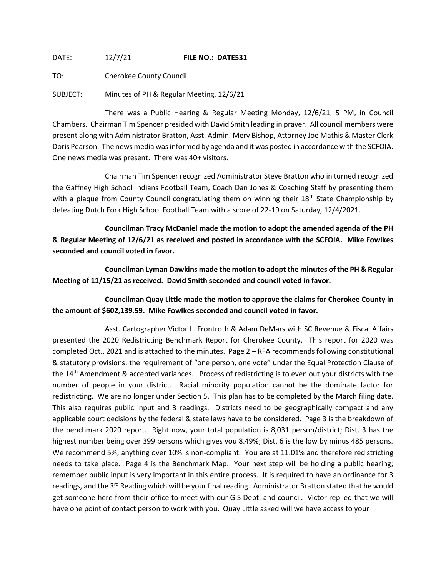DATE: 12/7/21 **FILE NO.: DATE531**

TO: Cherokee County Council

SUBJECT: Minutes of PH & Regular Meeting, 12/6/21

There was a Public Hearing & Regular Meeting Monday, 12/6/21, 5 PM, in Council Chambers. Chairman Tim Spencer presided with David Smith leading in prayer. All council members were present along with Administrator Bratton, Asst. Admin. Merv Bishop, Attorney Joe Mathis & Master Clerk Doris Pearson. The news media was informed by agenda and it was posted in accordance with the SCFOIA. One news media was present. There was 40+ visitors.

Chairman Tim Spencer recognized Administrator Steve Bratton who in turned recognized the Gaffney High School Indians Football Team, Coach Dan Jones & Coaching Staff by presenting them with a plaque from County Council congratulating them on winning their 18<sup>th</sup> State Championship by defeating Dutch Fork High School Football Team with a score of 22-19 on Saturday, 12/4/2021.

**Councilman Tracy McDaniel made the motion to adopt the amended agenda of the PH & Regular Meeting of 12/6/21 as received and posted in accordance with the SCFOIA. Mike Fowlkes seconded and council voted in favor.**

**Councilman Lyman Dawkins made the motion to adopt the minutes of the PH & Regular Meeting of 11/15/21 as received. David Smith seconded and council voted in favor.**

**Councilman Quay Little made the motion to approve the claims for Cherokee County in the amount of \$602,139.59. Mike Fowlkes seconded and council voted in favor.**

Asst. Cartographer Victor L. Frontroth & Adam DeMars with SC Revenue & Fiscal Affairs presented the 2020 Redistricting Benchmark Report for Cherokee County. This report for 2020 was completed Oct., 2021 and is attached to the minutes. Page 2 – RFA recommends following constitutional & statutory provisions: the requirement of "one person, one vote" under the Equal Protection Clause of the 14<sup>th</sup> Amendment & accepted variances. Process of redistricting is to even out your districts with the number of people in your district. Racial minority population cannot be the dominate factor for redistricting. We are no longer under Section 5. This plan has to be completed by the March filing date. This also requires public input and 3 readings. Districts need to be geographically compact and any applicable court decisions by the federal & state laws have to be considered. Page 3 is the breakdown of the benchmark 2020 report. Right now, your total population is 8,031 person/district; Dist. 3 has the highest number being over 399 persons which gives you 8.49%; Dist. 6 is the low by minus 485 persons. We recommend 5%; anything over 10% is non-compliant. You are at 11.01% and therefore redistricting needs to take place. Page 4 is the Benchmark Map. Your next step will be holding a public hearing; remember public input is very important in this entire process. It is required to have an ordinance for 3 readings, and the 3<sup>rd</sup> Reading which will be your final reading. Administrator Bratton stated that he would get someone here from their office to meet with our GIS Dept. and council. Victor replied that we will have one point of contact person to work with you. Quay Little asked will we have access to your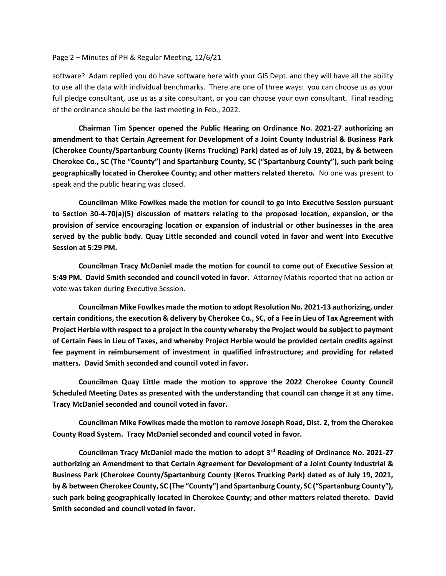## Page 2 – Minutes of PH & Regular Meeting, 12/6/21

software? Adam replied you do have software here with your GIS Dept. and they will have all the ability to use all the data with individual benchmarks. There are one of three ways: you can choose us as your full pledge consultant, use us as a site consultant, or you can choose your own consultant. Final reading of the ordinance should be the last meeting in Feb., 2022.

**Chairman Tim Spencer opened the Public Hearing on Ordinance No. 2021-27 authorizing an amendment to that Certain Agreement for Development of a Joint County Industrial & Business Park (Cherokee County/Spartanburg County (Kerns Trucking) Park) dated as of July 19, 2021, by & between Cherokee Co., SC (The "County") and Spartanburg County, SC ("Spartanburg County"), such park being geographically located in Cherokee County; and other matters related thereto.** No one was present to speak and the public hearing was closed.

**Councilman Mike Fowlkes made the motion for council to go into Executive Session pursuant to Section 30-4-70(a)(5) discussion of matters relating to the proposed location, expansion, or the provision of service encouraging location or expansion of industrial or other businesses in the area served by the public body. Quay Little seconded and council voted in favor and went into Executive Session at 5:29 PM.**

**Councilman Tracy McDaniel made the motion for council to come out of Executive Session at 5:49 PM. David Smith seconded and council voted in favor.** Attorney Mathis reported that no action or vote was taken during Executive Session.

**Councilman Mike Fowlkes made the motion to adopt Resolution No. 2021-13 authorizing, under certain conditions, the execution & delivery by Cherokee Co., SC, of a Fee in Lieu of Tax Agreement with Project Herbie with respect to a project in the county whereby the Project would be subject to payment of Certain Fees in Lieu of Taxes, and whereby Project Herbie would be provided certain credits against fee payment in reimbursement of investment in qualified infrastructure; and providing for related matters. David Smith seconded and council voted in favor.**

**Councilman Quay Little made the motion to approve the 2022 Cherokee County Council Scheduled Meeting Dates as presented with the understanding that council can change it at any time. Tracy McDaniel seconded and council voted in favor.**

**Councilman Mike Fowlkes made the motion to remove Joseph Road, Dist. 2, from the Cherokee County Road System. Tracy McDaniel seconded and council voted in favor.**

**Councilman Tracy McDaniel made the motion to adopt 3rd Reading of Ordinance No. 2021-27 authorizing an Amendment to that Certain Agreement for Development of a Joint County Industrial & Business Park (Cherokee County/Spartanburg County (Kerns Trucking Park) dated as of July 19, 2021, by & between Cherokee County, SC (The "County") and Spartanburg County, SC ("Spartanburg County"), such park being geographically located in Cherokee County; and other matters related thereto. David Smith seconded and council voted in favor.**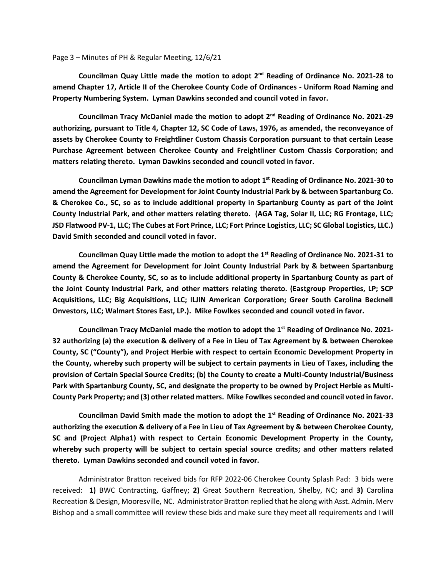## Page 3 – Minutes of PH & Regular Meeting, 12/6/21

**Councilman Quay Little made the motion to adopt 2nd Reading of Ordinance No. 2021-28 to amend Chapter 17, Article II of the Cherokee County Code of Ordinances - Uniform Road Naming and Property Numbering System. Lyman Dawkins seconded and council voted in favor.**

**Councilman Tracy McDaniel made the motion to adopt 2nd Reading of Ordinance No. 2021-29 authorizing, pursuant to Title 4, Chapter 12, SC Code of Laws, 1976, as amended, the reconveyance of assets by Cherokee County to Freightliner Custom Chassis Corporation pursuant to that certain Lease Purchase Agreement between Cherokee County and Freightliner Custom Chassis Corporation; and matters relating thereto. Lyman Dawkins seconded and council voted in favor.**

**Councilman Lyman Dawkins made the motion to adopt 1st Reading of Ordinance No. 2021-30 to amend the Agreement for Development for Joint County Industrial Park by & between Spartanburg Co. & Cherokee Co., SC, so as to include additional property in Spartanburg County as part of the Joint County Industrial Park, and other matters relating thereto. (AGA Tag, Solar II, LLC; RG Frontage, LLC; JSD Flatwood PV-1, LLC; The Cubes at Fort Prince, LLC; Fort Prince Logistics, LLC; SC Global Logistics, LLC.) David Smith seconded and council voted in favor.**

**Councilman Quay Little made the motion to adopt the 1st Reading of Ordinance No. 2021-31 to amend the Agreement for Development for Joint County Industrial Park by & between Spartanburg County & Cherokee County, SC, so as to include additional property in Spartanburg County as part of the Joint County Industrial Park, and other matters relating thereto. (Eastgroup Properties, LP; SCP Acquisitions, LLC; Big Acquisitions, LLC; ILJIN American Corporation; Greer South Carolina Becknell Onvestors, LLC; Walmart Stores East, LP.). Mike Fowlkes seconded and council voted in favor.**

**Councilman Tracy McDaniel made the motion to adopt the 1st Reading of Ordinance No. 2021- 32 authorizing (a) the execution & delivery of a Fee in Lieu of Tax Agreement by & between Cherokee County, SC ("County"), and Project Herbie with respect to certain Economic Development Property in the County, whereby such property will be subject to certain payments in Lieu of Taxes, including the provision of Certain Special Source Credits; (b) the County to create a Multi-County Industrial/Business Park with Spartanburg County, SC, and designate the property to be owned by Project Herbie as Multi-County Park Property; and (3) other related matters. Mike Fowlkes seconded and council voted in favor.**

**Councilman David Smith made the motion to adopt the 1st Reading of Ordinance No. 2021-33 authorizing the execution & delivery of a Fee in Lieu of Tax Agreement by & between Cherokee County, SC and (Project Alpha1) with respect to Certain Economic Development Property in the County, whereby such property will be subject to certain special source credits; and other matters related thereto. Lyman Dawkins seconded and council voted in favor.**

Administrator Bratton received bids for RFP 2022-06 Cherokee County Splash Pad: 3 bids were received: **1)** BWC Contracting, Gaffney; **2)** Great Southern Recreation, Shelby, NC; and **3)** Carolina Recreation & Design, Mooresville, NC. Administrator Bratton replied that he along with Asst. Admin. Merv Bishop and a small committee will review these bids and make sure they meet all requirements and I will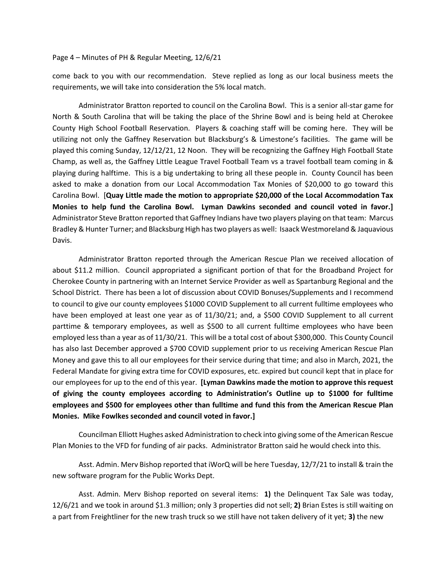## Page 4 – Minutes of PH & Regular Meeting, 12/6/21

come back to you with our recommendation. Steve replied as long as our local business meets the requirements, we will take into consideration the 5% local match.

Administrator Bratton reported to council on the Carolina Bowl. This is a senior all-star game for North & South Carolina that will be taking the place of the Shrine Bowl and is being held at Cherokee County High School Football Reservation. Players & coaching staff will be coming here. They will be utilizing not only the Gaffney Reservation but Blacksburg's & Limestone's facilities. The game will be played this coming Sunday, 12/12/21, 12 Noon. They will be recognizing the Gaffney High Football State Champ, as well as, the Gaffney Little League Travel Football Team vs a travel football team coming in & playing during halftime. This is a big undertaking to bring all these people in. County Council has been asked to make a donation from our Local Accommodation Tax Monies of \$20,000 to go toward this Carolina Bowl. [**Quay Little made the motion to appropriate \$20,000 of the Local Accommodation Tax Monies to help fund the Carolina Bowl. Lyman Dawkins seconded and council voted in favor.]** Administrator Steve Bratton reported that Gaffney Indians have two players playing on that team: Marcus Bradley & Hunter Turner; and Blacksburg High has two players as well: Isaack Westmoreland & Jaquavious Davis.

Administrator Bratton reported through the American Rescue Plan we received allocation of about \$11.2 million. Council appropriated a significant portion of that for the Broadband Project for Cherokee County in partnering with an Internet Service Provider as well as Spartanburg Regional and the School District. There has been a lot of discussion about COVID Bonuses/Supplements and I recommend to council to give our county employees \$1000 COVID Supplement to all current fulltime employees who have been employed at least one year as of 11/30/21; and, a \$500 COVID Supplement to all current parttime & temporary employees, as well as \$500 to all current fulltime employees who have been employed less than a year as of 11/30/21. This will be a total cost of about \$300,000. This County Council has also last December approved a \$700 COVID supplement prior to us receiving American Rescue Plan Money and gave this to all our employees for their service during that time; and also in March, 2021, the Federal Mandate for giving extra time for COVID exposures, etc. expired but council kept that in place for our employees for up to the end of this year. **[Lyman Dawkins made the motion to approve this request of giving the county employees according to Administration's Outline up to \$1000 for fulltime employees and \$500 for employees other than fulltime and fund this from the American Rescue Plan Monies. Mike Fowlkes seconded and council voted in favor.]**

Councilman Elliott Hughes asked Administration to check into giving some of the American Rescue Plan Monies to the VFD for funding of air packs. Administrator Bratton said he would check into this.

Asst. Admin. Merv Bishop reported that iWorQ will be here Tuesday, 12/7/21 to install & train the new software program for the Public Works Dept.

Asst. Admin. Merv Bishop reported on several items: **1)** the Delinquent Tax Sale was today, 12/6/21 and we took in around \$1.3 million; only 3 properties did not sell; **2)** Brian Estes is still waiting on a part from Freightliner for the new trash truck so we still have not taken delivery of it yet; **3)** the new